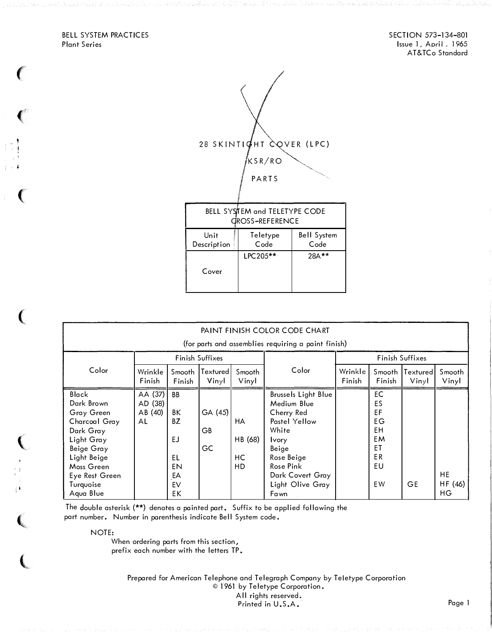BELL SYSTEM PRACTICES Plant Series

 $\epsilon$ 

( <,

 $\left($ 

' '

 $\left($ 

 $\big($ 

 $\overline{\mathbb{C}}$ 

SECTION 573-134-801 Issue 1, April, 1965 AT&TCo Standard



| PAINT FINISH COLOR CODE CHART                                                                                                                                        |                                     |                                                           |                     |                            |                                                                                                                                                                                       |                   |                                                                   |                   |                     |
|----------------------------------------------------------------------------------------------------------------------------------------------------------------------|-------------------------------------|-----------------------------------------------------------|---------------------|----------------------------|---------------------------------------------------------------------------------------------------------------------------------------------------------------------------------------|-------------------|-------------------------------------------------------------------|-------------------|---------------------|
| (for parts and assemblies requiring a paint finish)                                                                                                                  |                                     |                                                           |                     |                            |                                                                                                                                                                                       |                   |                                                                   |                   |                     |
|                                                                                                                                                                      | Finish Suffixes                     |                                                           |                     |                            |                                                                                                                                                                                       | Finish Suffixes   |                                                                   |                   |                     |
| Color                                                                                                                                                                | Wrinkle<br>Finish                   | Smooth<br>Finish                                          | Textured <br>Vinyl  | Smooth<br>Vinyl            | Color                                                                                                                                                                                 | Wrinkle<br>Finish | Smooth<br>Finish                                                  | Textured<br>Vinyl | Smooth<br>Vinyl     |
| Black<br>Dark Brown<br>Gray Green<br>Charcoal Gray<br>Dark Gray<br>Light Gray<br>Beige Gray<br>Light Beige<br>Moss Green<br>Eye Rest Green<br>Turquoise<br>Aqua Blue | AA (37)<br>AD (38)<br>AB (40)<br>AL | <b>BB</b><br>BΚ<br>BZ<br>EJ<br>EL<br>EN<br>EA<br>EV<br>EΚ | GA (45)<br>GB<br>GC | HA<br>HB (68)<br>HC<br>HD. | <b>Brussels Light Blue</b><br>Medium Blue<br>Cherry Red<br>Pastel Yellow<br>White<br><b>Ivory</b><br>Beige<br>Rose Beige<br>Rose Pink<br>Dark Covert Gray<br>Light Olive Gray<br>Fawn |                   | EC<br>ES<br>EF<br><b>EG</b><br>EH.<br>EM<br>ΕT<br>ER.<br>EU<br>EW | GE                | HE<br>HF (46)<br>НG |

The double asterisk (\*\*) denotes a painted part. Suffix to be applied following the part number. Number in parenthesis indicate Bell System code.

NOTE:

When ordering parts from this section, prefix each number with the letters TP.

> Prepared for American Telephone and Telegraph Company by Teletype Corporation © 1961 by Teletype Corporation. All rights reserved. Printed in U.S.A. Page 1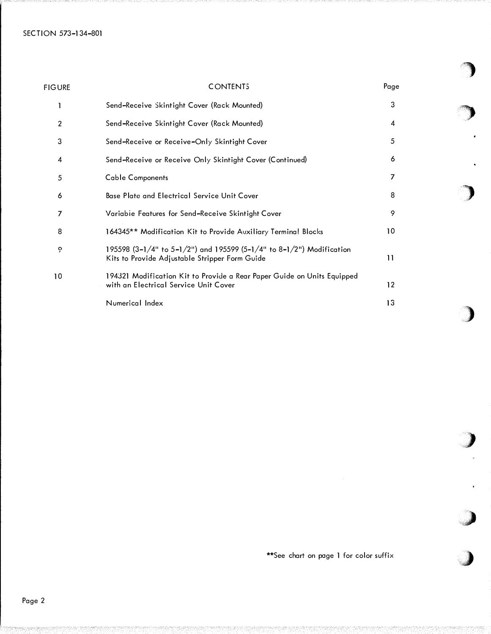| <b>FIGURE</b>           | <b>CONTENTS</b>                                                                                                        | Page |  |
|-------------------------|------------------------------------------------------------------------------------------------------------------------|------|--|
|                         | Send-Receive Skintight Cover (Rack Mounted)                                                                            | 3    |  |
| $\overline{\mathbf{c}}$ | Send-Receive Skintight Cover (Rack Mounted)                                                                            | 4    |  |
| 3                       | Send-Receive or Receive-Only Skintight Cover                                                                           | 5    |  |
| 4                       | Send-Receive or Receive Only Skintight Cover (Continued)                                                               | 6    |  |
| 5                       | <b>Cable Components</b>                                                                                                | 7    |  |
| 6                       | <b>Base Plate and Electrical Service Unit Cover</b>                                                                    | 8    |  |
| 7                       | Variable Features for Send-Receive Skintight Cover                                                                     | 9    |  |
| 8                       | 164345** Modification Kit to Provide Auxiliary Terminal Blocks                                                         | 10   |  |
| ò                       | 195598 (3-1/4" to 5-1/2") and 195599 (5-1/4" to 8-1/2") Modification<br>Kits to Provide Adjustable Stripper Form Guide | 11   |  |
| 10                      | 194321 Modification Kit to Provide a Rear Paper Guide on Units Equipped<br>with an Electrical Service Unit Cover       | 12   |  |
|                         | Numerical Index                                                                                                        | 13   |  |

\*\*See chart on page 1 for color suffix

'�)

�)

)

)

,)

.)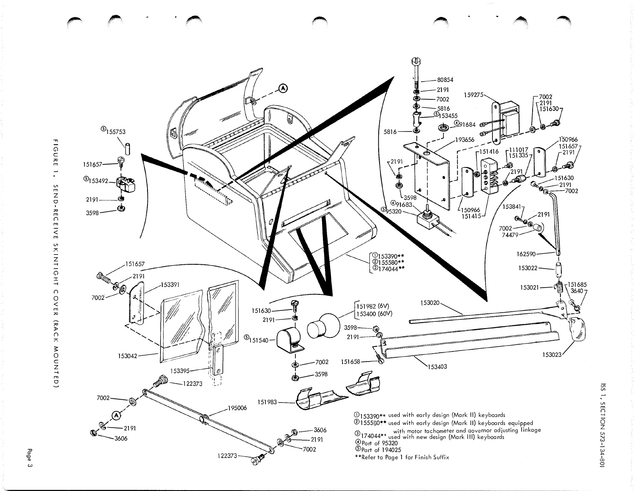

 $\qquad \qquad \wedge$ 

CJ

Page 3

 $\overline{\mathrm{S}}$ SECT DN 573-134  $108 - 1$ 

"""'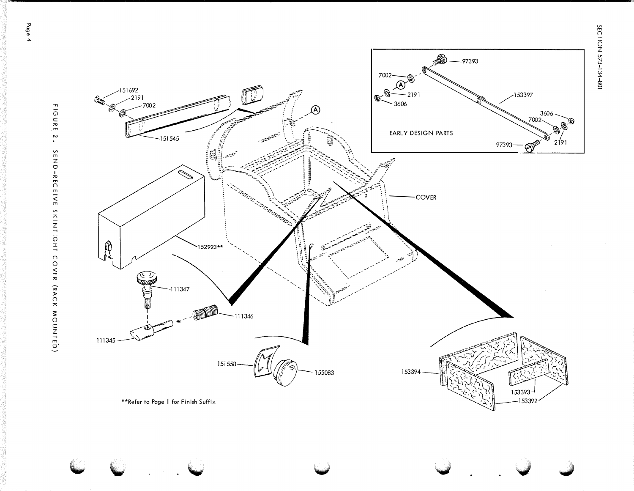SECTION 573-134-801



**FIGURE**  $\ddot{\phantom{0}}$ SEND-RECEIVE SKINITOHT COVER (RACK MOUNTED)

Page 4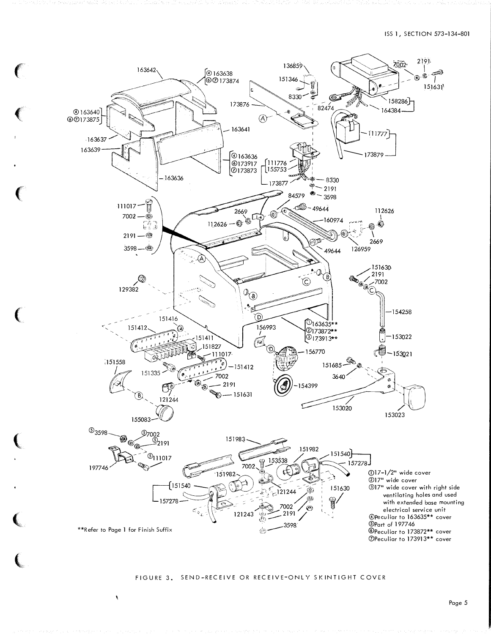

## FIGURE 3. SEND-RECEIVE OR RECEIVE-ONLY SKINTIGHT COVER

 $\pmb{\chi}$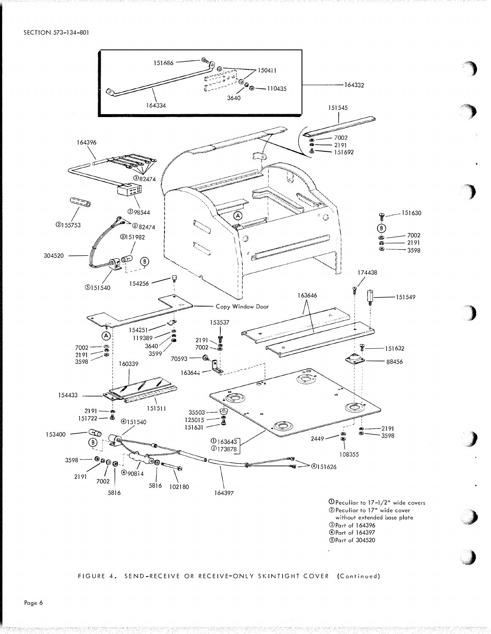

*<u>OPart of 164396</u> <u>OPart of 164397</u>* **5Part of 304520** 

## FIGURE 4. SEND-RECEIVE OR RECEIVE-ONLY SKINTIGHT COVER (Continued)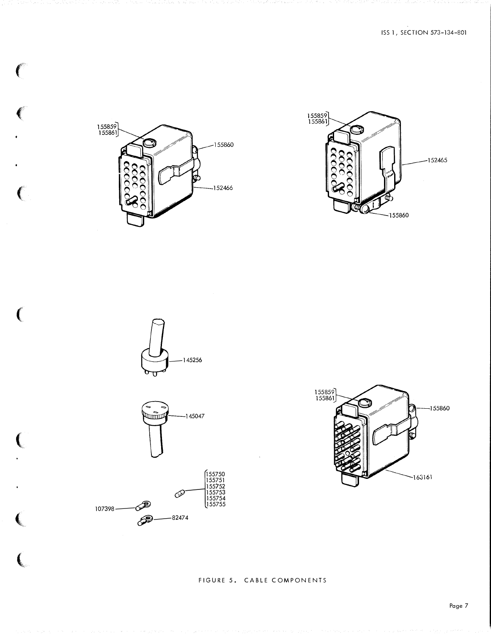

 $\epsilon$ 

 $\left($ 

 $\big($ 

(

 $\left($ 

 $\big($ 

(.











FIGURE 5. CABLE COMPONENTS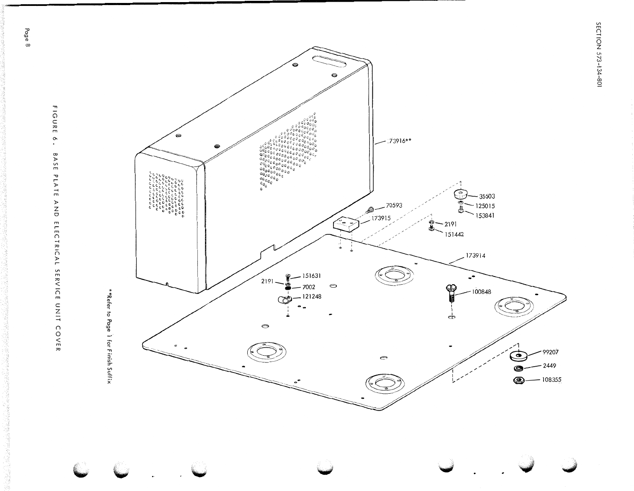FIGURE  $\cdot$ BASE PLATE AND ELECTRICAL SERVICE UNIT COVER

Page 8





SECTION 573-134-801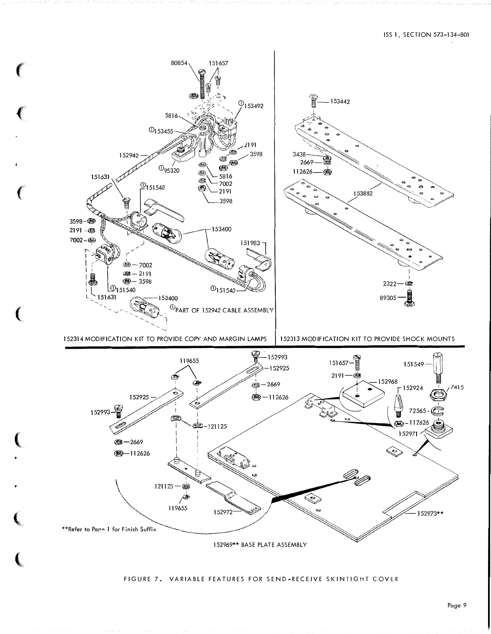

#### FIGURE 7. VARIABLE FEATURES FOR SEND-RECEIVE SKINTIGHT COVER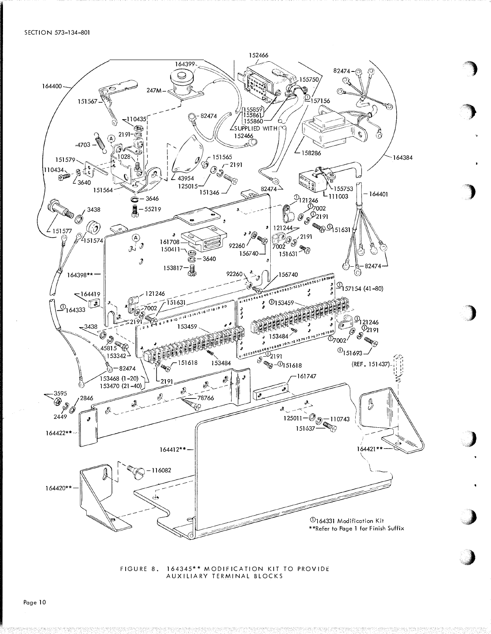

FIGURE 8. 164345\*\* MODIFICATION KIT TO PROVIDE AUXILIARY TERMINAL BLOCKS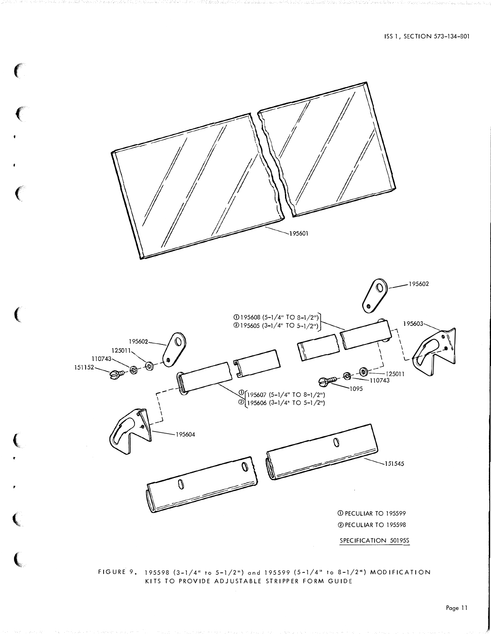ISS 1, SECTION 573-134-801



FIGURE 9。 195598 (3-1/4" to 5-1/2") and 195599 (5-1/4" to 8-1/2") MODIFICATION KITS TO PROVIDE ADJUSTABLE STRIPPER FORM GUIDE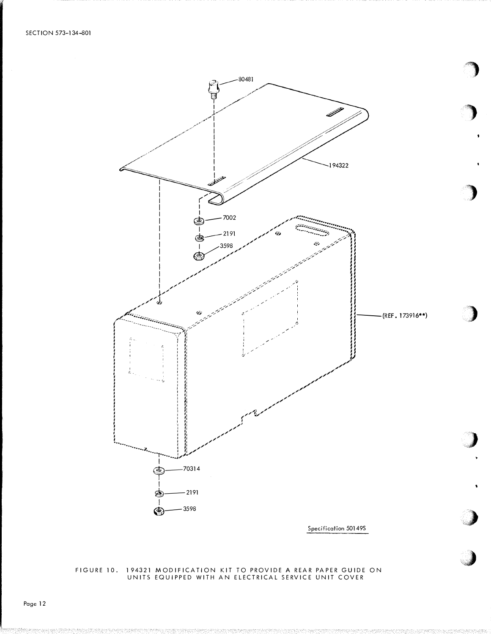

Specification 50149S

# FIGURE 10. 194321 MODIFICATION KIT TO PROVIDE A REAR PAPER GUIDE ON UNITS EQUIPPED WITH AN ELECTRICAL SERVICE UNIT COVER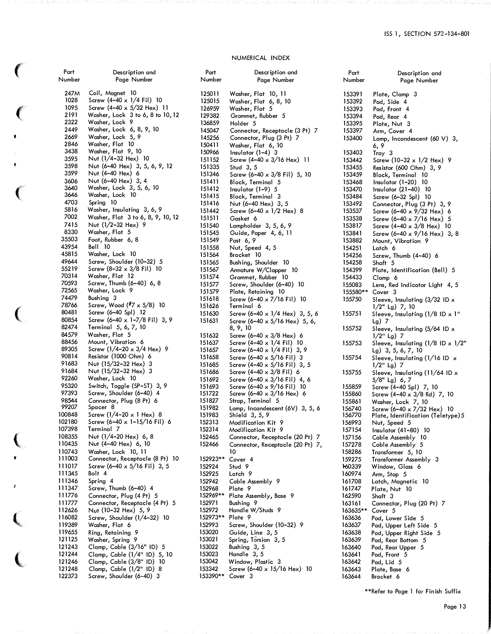# NUMERICAL INDEX

| Part             | Description and                                                           |
|------------------|---------------------------------------------------------------------------|
| Number           | Ì<br>Page Number                                                          |
| 247M             | Coil, Magnet 10                                                           |
| 1028             | Screw (4-40 x 1/4 Fil) 10                                                 |
| 1095             | Screw $(4-40 \times 5/32$ Hex) 11                                         |
| 2191             | Washer, Lock 3 to 6, 8 to 10, 12                                          |
| 2322             | Washer, Lock 9                                                            |
| 2449             | Washer, Lock 6, 8, 9, 10                                                  |
| 2669             | Washer, Lock 5, 9                                                         |
| 2846<br>3438     | Washer, Flat 10<br>Washer, Flat 9, 10                                     |
| 3595             | Nut (1/4-32 Hex) 10                                                       |
| 3598             | Nut (6-40 Hex) 3, 5, 6, 9, 12                                             |
| 3599             | Nut (4-40 Hex) 6                                                          |
| 3606             | Nut (6–40 Hex) 3, 4                                                       |
| 3640             | Washer, Lock 3, 5, 6, 10<br>Washer, Lock 10                               |
| 3646             |                                                                           |
| 4703             | $\overline{1}$<br>10<br>Spring                                            |
| 5816<br>7002     | Washer, Insulating 3, 6, 9<br>ו<br>ו<br>Washer, Flat 3 to 6, 8, 9, 10, 12 |
| 7415             | Nut (1/2-32 Hex) 9<br>l                                                   |
| 8330             | 1<br>Washer, Flat 5                                                       |
| 35503            | Foot, Rubber 6, 8<br>l                                                    |
| 43954            | 1<br>Bell<br>10                                                           |
| 45815            | Washer, Lock 10<br>l                                                      |
| 49644            | Screw, Shoulder (10-32) 5<br>1                                            |
| 55219            | Screw $(8-32 \times 3/8)$ Fil 10<br>1                                     |
| 70314            | Washer, Flat 12<br>l                                                      |
| 70593<br>72565   | Screw, Thumb (6-40) 6, 8<br>l<br>Washer, Lock 9                           |
| 74479            | 1<br>Bushing 3<br>1                                                       |
| 78766            | Screw, Wood $({}^{#}7 \times 5/8)$ 10<br>1                                |
| 80481            | Screw (6-40 Spl) 12<br>1                                                  |
| 80854            | Screw (6-40 x 1-7/8 Fil) 3, 9<br>1                                        |
| 82474            | Terminal 5, 6, 7, 10                                                      |
| 84579            | Washer, Flat 5<br>1                                                       |
| 88456            | Mount, Vibration 6<br>1                                                   |
| 89305<br>90814   | Screw $(1/4 - 20 \times 3/4$ Hex) 9<br>1<br>Resistor (1000 Ohm) 6<br>l    |
| 91683            | Nut (15/32-32 Hex) 3<br>1                                                 |
| 91684            | Nut (15/32–32 Hex)<br>3<br>l                                              |
| 92260            | Washer, Lock 10<br>1                                                      |
| 95320            | Switch, Toggle (SP-ST) 3, 9<br>l                                          |
| 97393            | 1<br>Screw, Shoulder (6-40) 4                                             |
| 98544            | 1<br>Connector, Plug (8 Pt) 6                                             |
| 99207<br>100848  | 1<br>Spacer 8<br>Screw $(1/4 - 20 \times 1$ Hex) 8<br>I                   |
| 102180           | Screw $(6-40 \times 1-15/16$ Fil) 6<br>1                                  |
| 107398           | Terminal 7<br>1                                                           |
| 108355           | Nut (1/4-20 Hex) 6, 8<br>1                                                |
| 110435           | Nut (4-40 Hex) 6, 10<br>1                                                 |
| 110743           | Washer, Lock 10, 11                                                       |
| 111003           | Connector, Receptacle (8 Pt) 10<br>1                                      |
| 111017           | Screw (6-40 $\times$ 5/16 Fil) 3, 5<br>1                                  |
| 111345<br>111346 | Bolt 4<br>1<br>1                                                          |
| 111347           | Spring 4<br>1<br>Screw, Thumb (6-40) 4                                    |
| 111776           | Connector, Plug (4 Pt) 5<br>1                                             |
| 111777           | 1<br>Connector, Receptacle (4 Pt) 5                                       |
| 112626           | 1<br>Nut (10-32 Hex) 5, 9                                                 |
| 116082           | 1<br>Screw, Shoulder (1/4-32) 10                                          |
| 119389           | 1<br>Washer, Flat 6                                                       |
| 119655           | 1<br>Ring, Retaining<br>9<br>1                                            |
| 121125<br>121243 | Washer, Spring<br>9<br>Clamp, Cable (3/16" ID) 5<br>1                     |
| 121244           | 1<br>Clamp, Cable (1/4" ID) 5, 10                                         |
| 121246           | Clamp, Cable (3/8" ID) 10<br>1                                            |
| 121248           | Clamp, Cable (1/2" ID) 8<br>1                                             |
| 122373           | Screw, Shoulder (6–40) 3<br>1                                             |

 $\big($ 

 $\left($ 

 $\pmb{\cdot}$ 

 $\pmb{\epsilon}$ 

 $\big($ 

(

 $\left(\rule{-2pt}{10pt}\right.$ 

,.

 $\left($ 

 $\epsilon$ 

| Part               | Description and                                              |
|--------------------|--------------------------------------------------------------|
| Number             | Page Number                                                  |
| 125011             | Washer, Flat 10, 11                                          |
| 125015             | Washer, Flat 6, 8, 10                                        |
| 126959             | Washer, Flat<br>5                                            |
| 129382             | Grommet, Rubber 5                                            |
| 136859<br>145047   | Holder 5<br>Connector, Receptacle (3 Pt) 7                   |
| 145256             | Connector, Plug (3 Pt) 7                                     |
| 150411             | Washer, Flat 6, 10                                           |
| 150966             | Insulator (1–4)<br>з                                         |
| 151152<br>151335   | Screw $(4-40 \times 3/16$ Hex) 11<br>Stud 3, 5               |
| 151346             | Screw (6-40 x 3/8 Fil) 5, 10                                 |
| 151411             | Block, Terminal 5                                            |
| 151412             | Insulator (1–9) 5                                            |
| 151415             | Block, Terminal<br>з                                         |
| 151416<br>151442   | Nut (6–40 Hex) 3, 5<br>Screw (6–40 $\times$ 1/2 Hex) 8       |
| 151511             | Gasket 6                                                     |
| 151540             | Lampholder 3, 5, 6, 9                                        |
| 151545             | Guide, Paper 4, 6, 11                                        |
| 151549<br>151558   | Post 6,9<br>Nut, Speed 4, 5                                  |
| 151564             | Bracket 10                                                   |
| 151565             | Bushing, Shoulder 10                                         |
| 151567             | Armature W/Clapper<br>-10                                    |
| 151574             | Grommet, Rubber 10                                           |
| 151577<br>151579   | Screw, Shoulder (6-40) 10<br>Plate, Retaining 10             |
| 151618             | Screw (6–40 x 7/16 Fil) 10                                   |
| 151626             | Terminal 6                                                   |
| 151630             | Screw (6–40 $\times$ 1/4 Hex) 3, 5, 6                        |
| 151631             | Screw (6–40 x 5/16 Hex) 5, 6,<br>8, 9, 10                    |
| 151632             | Screw (6-40 $\times$ 3/8 Hex) 6                              |
| 151637             | Screw (4–40 x 1/4 Fil) 10                                    |
| 151657             | Screw (6–40 x 1/4 Fil)<br>3, 9                               |
| 151658<br>151685   | Screw (6–40 x 5/16 Fil) 3<br>Screw (4–40 x 5/16 Fil)<br>3, 5 |
| 151686             | Screw $(4-40 \times 3/8 \text{ Fil})$ 6                      |
| 151692             | Screw (6-40 x 3/16 Fil) 4, 6                                 |
| 151693             | Screw (6-40 x 9/16 Fil) 10                                   |
| 151722<br>151827   | Screw (6–40 x 3/16 Hex) 6<br>Strap, Terminal 5               |
| 151982             | Lamp, Incandescent (6V) 3, 5, 6                              |
| 151983             | Shield 3, 5, 9                                               |
| 152313             | Modification Kit<br>9                                        |
| 152314<br>152465   | Modification Kit 9<br>Connector, Receptacle (20 Pt)          |
| 152466             | 7<br>7,<br>Connector, Receptacle (20 Pt)                     |
|                    | 10                                                           |
| 152923**           | Cover 4                                                      |
| 152924             | Stud 9<br>Latch 9                                            |
| 152925<br>152942   | Cable Assembly 9                                             |
| 152968             | Plate 9                                                      |
| 152969**           | Plate Assembly, Base 9                                       |
| 152971             | Bushing 9<br>Handle W/Studs 9                                |
| 152972<br>152973** | Plate 9                                                      |
| 152993             | Screw, Shoulder (10-32) 9                                    |
| 153020             | Guide, Line 3, 5                                             |
| 153021             | Spring, Torsion 3, 5                                         |
| 153022<br>153023   | Bushing 3, 5<br>Handle 3,5                                   |
| 153042             | Window, Plastic 3                                            |
| 153342             | Screw (6-40 $\times$ 15/16 Hex)<br>10                        |
| 153390**           | Cover 3                                                      |
|                    |                                                              |

| Part<br>Number   | Description and<br>Page Number                                   |
|------------------|------------------------------------------------------------------|
| 153391<br>153392 | Plate, Clamp 3<br>Pad, Side 4                                    |
| 153393           | Pad, Front 4                                                     |
| 153394           | Pad, Rear 4                                                      |
| 153395           | Plate, Nut 3                                                     |
| 153397           | Arm, Cover 4                                                     |
| 153400           | Lamp, Incandescent (60 V) 3,<br>6, 9                             |
| 153403<br>153442 | Tray 3<br>Screw (10–32 x 1/2 Hex) 9                              |
| 153455           | Resistor (600 Ohm) 3, 9                                          |
| 153459           | Block, Terminal 10                                               |
| 153468           | Insulator (1-20) 10                                              |
| 153470           | Insulator (21–40) 10                                             |
| 153484           | Screw (6-32 Spl) 10                                              |
| 153492           | Connector, Plug (3 Pt) 3, 9                                      |
| 153537           | Screw (6–40 x 9/32 Hex) 6                                        |
| 153538           | Screw (6-40 x 7/16 Hex) 5                                        |
| 153817           | Screw (4-40 x 3/8 Hex) 10                                        |
| 153841           | Screw (6-40 x 9/16 Hex) 3, 8                                     |
| 153882           | Mount, Vibration 9                                               |
| 154251<br>154256 | Latch 6<br>Screw, Thumb (4-40) 6                                 |
| 154258           | Shaft 5                                                          |
| 154399           | Plate, Identification (Bell) 5                                   |
| 154433           | Clamp 6                                                          |
| 155083           | Lens, Red Indicator Light 4, 5                                   |
| 155580**         | Cover 3                                                          |
| 155750           | Sleeve, Insulating $(3/32$ ID $\times$                           |
| 155751           | 1/2" Lg) 7, 10<br>Sleeve, Insulating $(1/8$ ID $\times$ 1"       |
|                  | Lg) 7                                                            |
| 155752           | Sleeve, Insulating (5/64 ID x<br>$1/2$ " Lg) 7                   |
| 155753           | Sleeve, Insulating $(1/8$ ID $\times$ 1/2"<br>Lg) 3, 5, 6, 7, 10 |
| 155754           | Sleeve, Insulating $(1/16$ ID $\times$<br>$1/2$ " Lg) 7          |
| 155755           | Sleeve, Insulating (11/64 ID x<br>5/8" Lg) 6,7                   |
| 155859           | Screw (4-40 Spl) 7, 10                                           |
| 155860           | Screw (4-40 x 3/8 Rd) 7, 10                                      |
| 155861           | Washer, Lock 7, 10                                               |
| 156740<br>156770 | Screw (6-40 x 7/32 Hex) 10<br>Plate, Identification (Teletype) 5 |
| 156993           | Nut, Speed 5                                                     |
| 157154           | Insulator (41-80) 10                                             |
| 157156           | Cable Assembly 10                                                |
| 157278           | Cable Assembly 5                                                 |
| 158286           | Transformer 5, 10                                                |
| 159275           | Transformer Assembly 3                                           |
| 160339           | Window, Glass 6                                                  |
| 160974           | Arm, Stop 5                                                      |
| 161708           | Latch, Magnetic<br>-10                                           |
| 161747           | Plate, Nut 10                                                    |
| 162590<br>163161 | Shaft<br>3<br>Connector, Plug (20 Pt) 7                          |
| 163635**         | Cover 5                                                          |
| 163636           | Pad, Lower Side 5                                                |
| 163637           | Pad, Upper Left Side 5                                           |
| 163638           | Pad, Upper Right Side 5                                          |
| 163639           | Pad, Rear Bottom 5                                               |
| 163640           | Pad, Rear Upper 5                                                |
| 163641           | Pad, Front 5                                                     |
| 163642           | Pad, Lid 5                                                       |
| 163643           | Plate, Base 6                                                    |
| 163644           | Bracket 6                                                        |

\*\*Refer to Page I for Fin ish Suffix